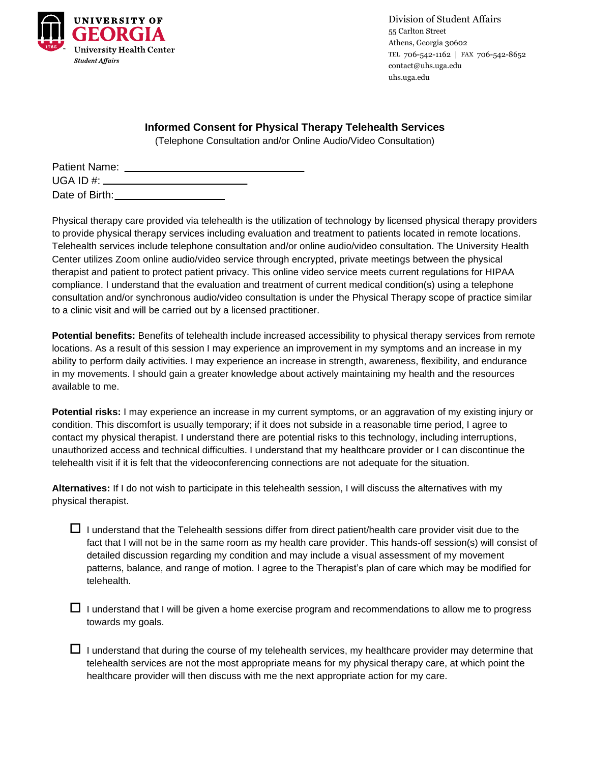

Division of Student Affairs 55 Carlton Street Athens, Georgia 30602 TEL 706-542-1162 | FAX 706-542-8652 contact@uhs.uga.edu uhs.uga.edu

## **Informed Consent for Physical Therapy Telehealth Services**

(Telephone Consultation and/or Online Audio/Video Consultation)

| Patient Name:  |                                  |  |
|----------------|----------------------------------|--|
|                | UGA ID #: ______________________ |  |
| Date of Birth: |                                  |  |

Physical therapy care provided via telehealth is the utilization of technology by licensed physical therapy providers to provide physical therapy services including evaluation and treatment to patients located in remote locations. Telehealth services include telephone consultation and/or online audio/video consultation. The University Health Center utilizes Zoom online audio/video service through encrypted, private meetings between the physical therapist and patient to protect patient privacy. This online video service meets current regulations for HIPAA compliance. I understand that the evaluation and treatment of current medical condition(s) using a telephone consultation and/or synchronous audio/video consultation is under the Physical Therapy scope of practice similar to a clinic visit and will be carried out by a licensed practitioner.

**Potential benefits:** Benefits of telehealth include increased accessibility to physical therapy services from remote locations. As a result of this session I may experience an improvement in my symptoms and an increase in my ability to perform daily activities. I may experience an increase in strength, awareness, flexibility, and endurance in my movements. I should gain a greater knowledge about actively maintaining my health and the resources available to me.

**Potential risks:** I may experience an increase in my current symptoms, or an aggravation of my existing injury or condition. This discomfort is usually temporary; if it does not subside in a reasonable time period, I agree to contact my physical therapist. I understand there are potential risks to this technology, including interruptions, unauthorized access and technical difficulties. I understand that my healthcare provider or I can discontinue the telehealth visit if it is felt that the videoconferencing connections are not adequate for the situation.

**Alternatives:** If I do not wish to participate in this telehealth session, I will discuss the alternatives with my physical therapist.

- $\Box$  I understand that the Telehealth sessions differ from direct patient/health care provider visit due to the fact that I will not be in the same room as my health care provider. This hands-off session(s) will consist of detailed discussion regarding my condition and may include a visual assessment of my movement patterns, balance, and range of motion. I agree to the Therapist's plan of care which may be modified for telehealth.
- $\Box$  I understand that I will be given a home exercise program and recommendations to allow me to progress towards my goals.
- $\Box$  I understand that during the course of my telehealth services, my healthcare provider may determine that telehealth services are not the most appropriate means for my physical therapy care, at which point the healthcare provider will then discuss with me the next appropriate action for my care.